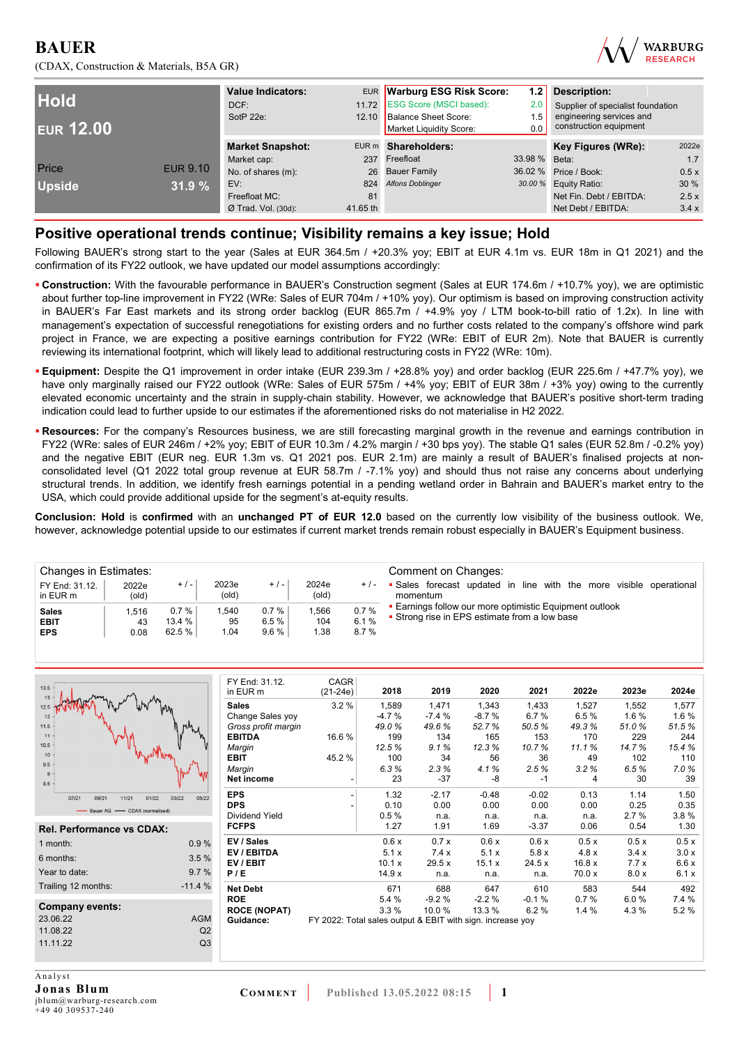



| <b>Hold</b><br><b>EUR 12.00</b> |                 | <b>Value Indicators:</b><br>DCF:<br>SotP 22e: | EUR Warburg ESG Risk Score:<br>11.72 ESG Score (MSCI based):<br>12.10 Balance Sheet Score:<br>Market Liquidity Score: |                         | 1.21<br>2.0<br>1.5<br>0.0 | Description:<br>Supplier of specialist foundation<br>engineering services and<br>construction equipment |       |
|---------------------------------|-----------------|-----------------------------------------------|-----------------------------------------------------------------------------------------------------------------------|-------------------------|---------------------------|---------------------------------------------------------------------------------------------------------|-------|
|                                 |                 | <b>Market Snapshot:</b>                       |                                                                                                                       | EUR m Shareholders:     |                           | Key Figures (WRe):                                                                                      | 2022e |
|                                 |                 | Market cap:                                   | 237                                                                                                                   | Freefloat               | 33.98 % Beta:             |                                                                                                         | 1.7   |
| Price                           | <b>EUR 9.10</b> | No. of shares (m):                            |                                                                                                                       | 26 Bauer Family         |                           | 36.02 % Price / Book:                                                                                   | 0.5x  |
| <b>Upside</b>                   | 31.9%           | EV:                                           | 824                                                                                                                   | <b>Alfons Doblinger</b> |                           | 30.00 % Equity Ratio:                                                                                   | 30%   |
|                                 |                 | Freefloat MC:                                 | 81                                                                                                                    |                         |                           | Net Fin. Debt / EBITDA:                                                                                 | 2.5x  |
|                                 |                 | $Ø$ Trad. Vol. (30d):                         | 41.65 th                                                                                                              |                         |                           | Net Debt / EBITDA:                                                                                      | 3.4x  |

## **Positive operational trends continue; Visibility remains a key issue; Hold**

Following BAUER's strong start to the year (Sales at EUR 364.5m / +20.3% yoy; EBIT at EUR 4.1m vs. EUR 18m in Q1 2021) and the confirmation of its FY22 outlook, we have updated our model assumptions accordingly:

- **Construction:** With the favourable performance in BAUER's Construction segment (Sales at EUR 174.6m / +10.7% yoy), we are optimistic about further top-line improvement in FY22 (WRe: Sales of EUR 704m / +10% yoy). Our optimism is based on improving construction activity in BAUER's Far East markets and its strong order backlog (EUR 865.7m / +4.9% yoy / LTM book-to-bill ratio of 1.2x). In line with management's expectation of successful renegotiations for existing orders and no further costs related to the company's offshore wind park project in France, we are expecting a positive earnings contribution for FY22 (WRe: EBIT of EUR 2m). Note that BAUER is currently reviewing its international footprint, which will likely lead to additional restructuring costs in FY22 (WRe: 10m).
- **Equipment:** Despite the Q1 improvement in order intake (EUR 239.3m / +28.8% yoy) and order backlog (EUR 225.6m / +47.7% yoy), we have only marginally raised our FY22 outlook (WRe: Sales of EUR 575m / +4% yoy; EBIT of EUR 38m / +3% yoy) owing to the currently elevated economic uncertainty and the strain in supply-chain stability. However, we acknowledge that BAUER's positive short-term trading indication could lead to further upside to our estimates if the aforementioned risks do not materialise in H2 2022.
- **Resources:** For the company's Resources business, we are still forecasting marginal growth in the revenue and earnings contribution in FY22 (WRe: sales of EUR 246m / +2% yoy; EBIT of EUR 10.3m / 4.2% margin / +30 bps yoy). The stable Q1 sales (EUR 52.8m / -0.2% yoy) and the negative EBIT (EUR neg. EUR 1.3m vs. Q1 2021 pos. EUR 2.1m) are mainly a result of BAUER's finalised projects at nonconsolidated level (Q1 2022 total group revenue at EUR 58.7m / -7.1% yoy) and should thus not raise any concerns about underlying structural trends. In addition, we identify fresh earnings potential in a pending wetland order in Bahrain and BAUER's market entry to the USA, which could provide additional upside for the segment's at-equity results.

**Conclusion: Hold** is **confirmed** with an **unchanged PT of EUR 12.0** based on the currently low visibility of the business outlook. We, however, acknowledge potential upside to our estimates if current market trends remain robust especially in BAUER's Equipment business.

| Changes in Estimates:<br>FY End: 31.12.<br>in EUR m | 2022e<br>(old)      | $+/-$                      | 2023e<br>(old)     | $+$ / $-$            | 2024e<br>(old)      | $+/-$                | Comment on Changes:<br>• Sales forecast updated in line with the more visible operational<br>momentum    |
|-----------------------------------------------------|---------------------|----------------------------|--------------------|----------------------|---------------------|----------------------|----------------------------------------------------------------------------------------------------------|
| <b>Sales</b><br><b>EBIT</b><br><b>EPS</b>           | 1.516<br>43<br>0.08 | 0.7%<br>$13.4 \%$<br>62.5% | .540<br>95<br>1.04 | 0.7%<br>6.5%<br>9.6% | .566<br>104<br>1.38 | 0.7%<br>6.1%<br>8.7% | • Earnings follow our more optimistic Equipment outlook<br>• Strong rise in EPS estimate from a low base |

| $13.5 -$                         |                | FY End: 31.12.        | <b>CAGR</b>                                                |         |         |         |         |        |       |       |
|----------------------------------|----------------|-----------------------|------------------------------------------------------------|---------|---------|---------|---------|--------|-------|-------|
| 13                               |                | in EUR m              | $(21-24e)$                                                 | 2018    | 2019    | 2020    | 2021    | 2022e  | 2023e | 2024e |
| 12.5                             |                | <b>Sales</b>          | 3.2%                                                       | 1,589   | 1,471   | 1,343   | 1,433   | 1,527  | 1,552 | 1,577 |
| 12                               |                | Change Sales yoy      |                                                            | $-4.7%$ | $-7.4%$ | $-8.7%$ | 6.7%    | 6.5%   | 1.6%  | 1.6 % |
| 11.5                             |                | Gross profit margin   |                                                            | 49.0%   | 49.6%   | 52.7%   | 50.5%   | 49.3%  | 51.0% | 51.5% |
| $11 -$                           |                | <b>EBITDA</b>         | 16.6%                                                      | 199     | 134     | 165     | 153     | 170    | 229   | 244   |
| $10.5 -$                         |                | Margin                |                                                            | 12.5%   | 9.1%    | 12.3%   | 10.7%   | 11.1%  | 14.7% | 15.4% |
| 10 <sup>1</sup><br>9.5           |                | EBIT                  | 45.2%                                                      | 100     | 34      | 56      | 36      | 49     | 102   | 110   |
| 9                                |                | Margin                |                                                            | 6.3%    | 2.3%    | 4.1%    | 2.5%    | 3.2%   | 6.5%  | 7.0%  |
| $8.5 -$                          |                | Net income            |                                                            | 23      | $-37$   | $-8$    | -1      | 4      | 30    | 39    |
| 07/21<br>09/21<br>11/21<br>01/22 | 03/22<br>05/22 | <b>EPS</b>            |                                                            | 1.32    | $-2.17$ | $-0.48$ | $-0.02$ | 0.13   | 1.14  | 1.50  |
| Bauer AG - CDAX (normalised)     |                | <b>DPS</b>            |                                                            | 0.10    | 0.00    | 0.00    | 0.00    | 0.00   | 0.25  | 0.35  |
|                                  |                | <b>Dividend Yield</b> |                                                            | 0.5%    | n.a.    | n.a.    | n.a.    | n.a.   | 2.7%  | 3.8%  |
| <b>Rel. Performance vs CDAX:</b> |                | <b>FCFPS</b>          |                                                            | 1.27    | 1.91    | 1.69    | $-3.37$ | 0.06   | 0.54  | 1.30  |
| 1 month:                         | 0.9%           | EV / Sales            |                                                            | 0.6x    | 0.7x    | 0.6x    | 0.6x    | 0.5x   | 0.5x  | 0.5x  |
| 6 months:                        | 3.5%           | EV / EBITDA           |                                                            | 5.1x    | 7.4x    | 5.1x    | 5.8x    | 4.8x   | 3.4x  | 3.0x  |
|                                  |                | EV / EBIT             |                                                            | 10.1 x  | 29.5x   | 15.1 x  | 24.5x   | 16.8x  | 7.7x  | 6.6x  |
| Year to date:                    | 9.7%           | P/E                   |                                                            | 14.9x   | n.a.    | n.a.    | n.a.    | 70.0 x | 8.0 x | 6.1x  |
| Trailing 12 months:              | $-11.4%$       | <b>Net Debt</b>       |                                                            | 671     | 688     | 647     | 610     | 583    | 544   | 492   |
|                                  |                | <b>ROE</b>            |                                                            | 5.4 %   | $-9.2%$ | $-2.2%$ | $-0.1%$ | 0.7%   | 6.0%  | 7.4 % |
| <b>Company events:</b>           |                | <b>ROCE (NOPAT)</b>   |                                                            | 3.3%    | 10.0%   | 13.3 %  | 6.2%    | 1.4%   | 4.3%  | 5.2%  |
| 23.06.22                         | <b>AGM</b>     | Guidance:             | FY 2022: Total sales output & EBIT with sign. increase yoy |         |         |         |         |        |       |       |
| 11.08.22                         | Q2             |                       |                                                            |         |         |         |         |        |       |       |
| 11.11.22                         | Q3             |                       |                                                            |         |         |         |         |        |       |       |
|                                  |                |                       |                                                            |         |         |         |         |        |       |       |

Analyst **Jonas Blum**  jblum@warburg-research.com +49 40 309537-240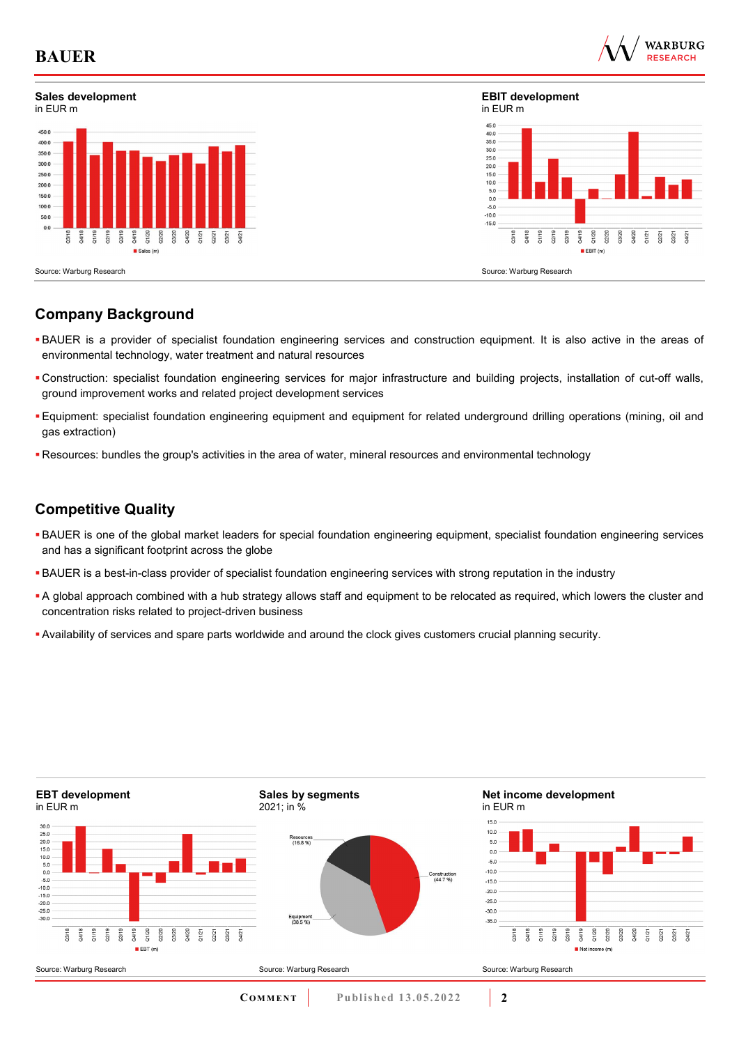

## **Sales development**



**EBIT development** in EUR m



Source: Warburg Research

## **Company Background**

- BAUER is a provider of specialist foundation engineering services and construction equipment. It is also active in the areas of environmental technology, water treatment and natural resources
- Construction: specialist foundation engineering services for major infrastructure and building projects, installation of cut-off walls, ground improvement works and related project development services
- Equipment: specialist foundation engineering equipment and equipment for related underground drilling operations (mining, oil and gas extraction)
- Resources: bundles the group's activities in the area of water, mineral resources and environmental technology

## **Competitive Quality**

- BAUER is one of the global market leaders for special foundation engineering equipment, specialist foundation engineering services and has a significant footprint across the globe
- BAUER is a best-in-class provider of specialist foundation engineering services with strong reputation in the industry
- A global approach combined with a hub strategy allows staff and equipment to be relocated as required, which lowers the cluster and concentration risks related to project-driven business
- Availability of services and spare parts worldwide and around the clock gives customers crucial planning security.

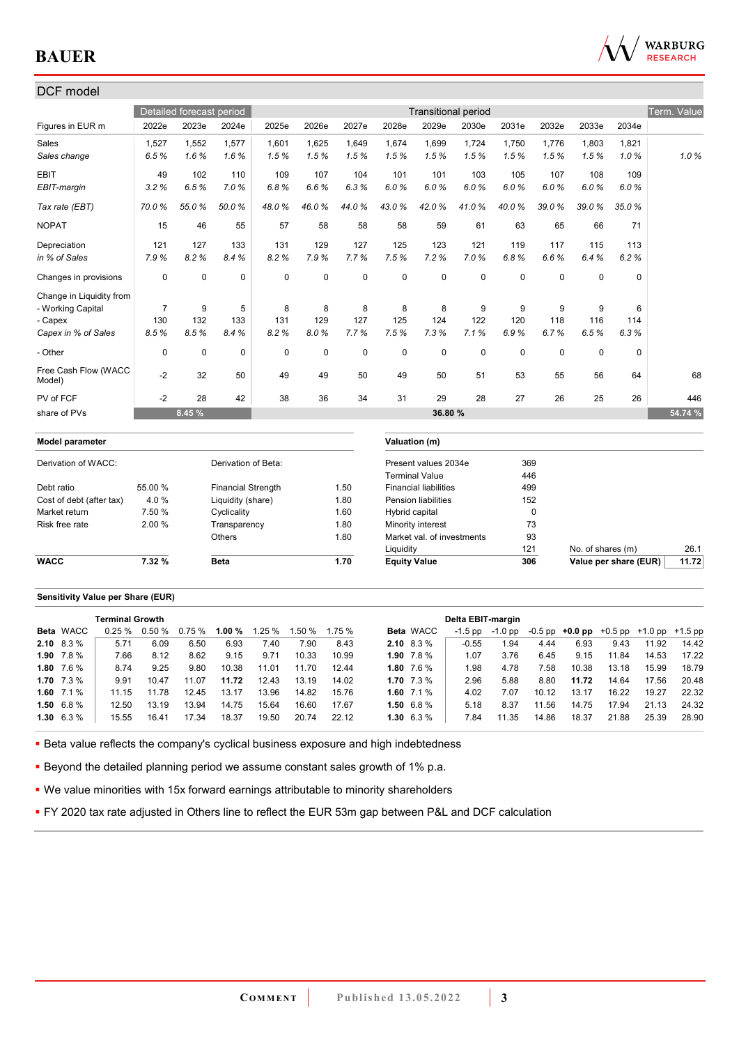

## DCF model Detailed forecast period **Transitional period** Transitional period Term. Value Figures in EUR m 2022e 2023e 2024e 2025e 2026e 2027e 2028e 2029e 2030e 2031e 2032e 2033e 2034e Sales 1,527 1,552 1,577 1,601 1,625 1,649 1,674 1,699 1,724 1,750 1,776 1,803 1,821 *Sales change 6.5 % 1.6 % 1.6 % 1.5 % 1.5 % 1.5 % 1.5 % 1.5 % 1.5 % 1.5 % 1.5 % 1.5 % 1.0 % 1.0 %* EBIT 49 102 110 109 107 104 101 101 103 105 107 108 109 *EBIT-margin 3.2 % 6.5 % 7.0 % 6.8 % 6.6 % 6.3 % 6.0 % 6.0 % 6.0 % 6.0 % 6.0 % 6.0 % 6.0 % Tax rate (EBT) 70.0 % 55.0 % 50.0 % 48.0 % 46.0 % 44.0 % 43.0 % 42.0 % 41.0 % 40.0 % 39.0 % 39.0 % 35.0 %*  NOPAT 15 46 55 57 58 58 58 59 61 63 65 66 71 Depreciation 121 127 133 131 129 127 125 123 121 119 117 115 113 *in % of Sales 7.9 % 8.2 % 8.4 % 8.2 % 7.9 % 7.7 % 7.5 % 7.2 % 7.0 % 6.8 % 6.6 % 6.4 % 6.2 %*  Changes in provisions 0 0 0 0 0 0 0 0 0 0 0 0 0 Change in Liquidity from - Working Capital 7 9 5 8 8 8 8 8 9 9 9 9 6 - Capex 130 132 133 131 129 127 125 124 122 120 118 116 114 *Capex in % of Sales 8.5 % 8.5 % 8.4 % 8.2 % 8.0 % 7.7 % 7.5 % 7.3 % 7.1 % 6.9 % 6.7 % 6.5 % 6.3 %*  - Other 0 0 0 0 0 0 0 0 0 0 0 0 0 Free Cash Flow (WACC 11cc cash how (whole | 22 32 50 | 49 49 50 49 50 51 53 55 56 64 | 68<br>Model) PV of FCF -2 28 42 38 36 34 31 29 28 27 26 25 26 446 share of PVs **8.45 % 36.80 % 54.74 % Model parameter Valuation (m)** Derivation of WACC: Derivation of Beta: Present values 2034e 369 Terminal Value 446 Debt ratio 55.00 % Financial Strength 1.50 Financial liabilities 499 Cost of debt (after tax)  $4.0\%$  Liquidity (share) 1.80 Pension liabilities 152 Market return 7.50 % Cyclicality 1.60 Hybrid capital 0 Risk free rate 2.00 % Transparency 1.80 Minority interest 73<br>2.00 % Others 1.80 Market val. of investments 93 Others 1.80 Market val. of investments Liquidity 121 No. of shares (m) 26.1 **WACC 7.32 % Beta** 1.70 **Equity Value 306 Value per share (EUR)** 11.72

#### **Sensitivity Value per Share (EUR)**

|                   | <b>Terminal Growth</b> |                 |        |        |        |        |       |                   |                  | Delta EBIT-margin |         |       |                                                   |       |       |       |
|-------------------|------------------------|-----------------|--------|--------|--------|--------|-------|-------------------|------------------|-------------------|---------|-------|---------------------------------------------------|-------|-------|-------|
| <b>Beta WACC</b>  |                        | $0.25\%$ 0.50 % | 0.75 % | 1.00 % | 1.25 % | 1.50 % | 1.75% |                   | <b>Beta WACC</b> | $-1.5$ pp         | -1.0 pp |       | $-0.5$ pp $+0.0$ pp $+0.5$ pp $+1.0$ pp $+1.5$ pp |       |       |       |
| $2.10\quad 8.3\%$ | 5.71                   | 6.09            | 6.50   | 6.93   | 7.40   | 7.90   | 8.43  | <b>2.10</b> 8.3 % |                  | $-0.55$           | .94     | 4.44  | 6.93                                              | 9.43  | 11.92 | 14.42 |
| 1.90 $7.8\%$      | 7.66                   | 8.12            | 8.62   | 9.15   | 9.71   | 10.33  | 10.99 | 1.90 $7.8\%$      |                  | 1.07              | 3.76    | 6.45  | 9.15                                              | 11.84 | 14.53 | 17.22 |
| 1.80 $7.6\%$      | 8.74                   | 9.25            | 9.80   | 10.38  | 11.01  | 11.70  | 12.44 | 1.80 $7.6\%$      |                  | 1.98              | 4.78    | 7.58  | 10.38                                             | 13.18 | 15.99 | 18.79 |
| 1.70 $7.3\%$      | 9.91                   | 10.47           | 11.07  | 11.72  | 12.43  | 13.19  | 14.02 | 1.70 $7.3\%$      |                  | 2.96              | 5.88    | 8.80  | 11.72                                             | 14.64 | 17.56 | 20.48 |
| 1.60 $7.1\%$      | 11.15                  | 11.78           | 12.45  | 13.17  | 13.96  | 14.82  | 15.76 | 1.60 $7.1\%$      |                  | 4.02              | 7.07    | 10.12 | 13.17                                             | 16.22 | 19.27 | 22.32 |
| $1.50\quad 6.8\%$ | 12.50                  | 13.19           | 13.94  | 14.75  | 15.64  | 16.60  | 17.67 | 1.50 $6.8\%$      |                  | 5.18              | 8.37    | 11.56 | 14.75                                             | 17.94 | 21.13 | 24.32 |
| $1.30\quad 6.3\%$ | 15.55                  | 16.41           | 17.34  | 18.37  | 19.50  | 20.74  | 22.12 | $1.30\quad 6.3\%$ |                  | 7.84              | 11.35   | 14.86 | 18.37                                             | 21.88 | 25.39 | 28.90 |

**Beta value reflects the company's cyclical business exposure and high indebtedness** 

**Beyond the detailed planning period we assume constant sales growth of 1% p.a.** 

We value minorities with 15x forward earnings attributable to minority shareholders

**FY 2020 tax rate adjusted in Others line to reflect the EUR 53m gap between P&L and DCF calculation**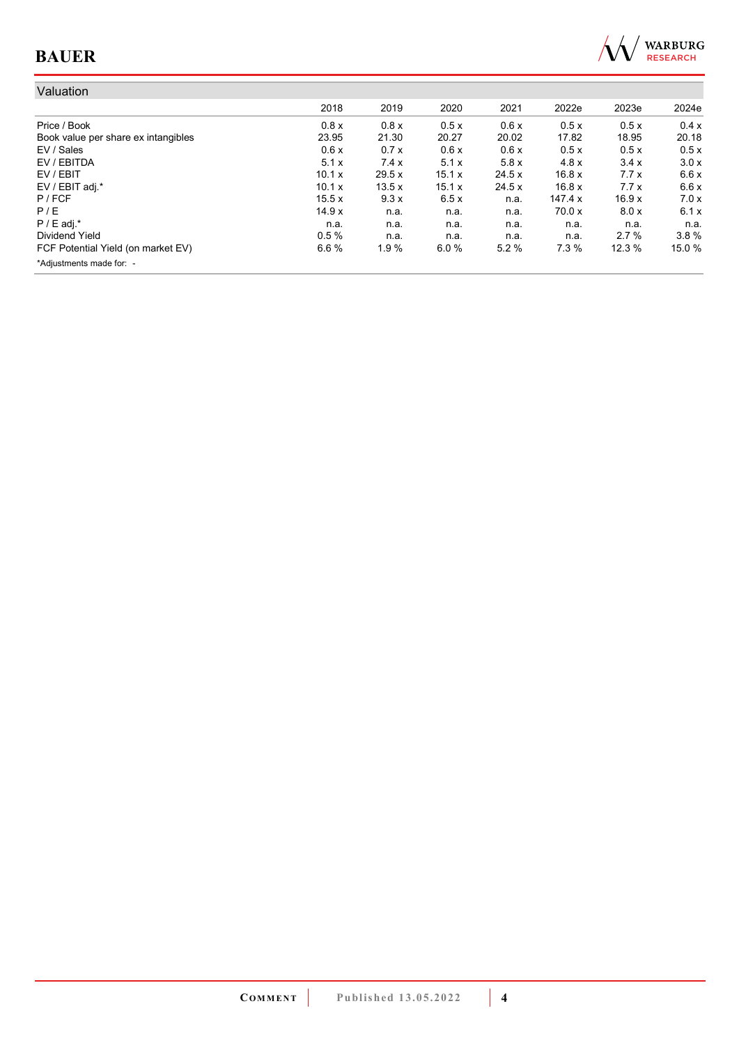

| Valuation                           |        |       |        |        |         |       |        |
|-------------------------------------|--------|-------|--------|--------|---------|-------|--------|
|                                     | 2018   | 2019  | 2020   | 2021   | 2022e   | 2023e | 2024e  |
| Price / Book                        | 0.8x   | 0.8x  | 0.5x   | 0.6x   | 0.5x    | 0.5x  | 0.4x   |
| Book value per share ex intangibles | 23.95  | 21.30 | 20.27  | 20.02  | 17.82   | 18.95 | 20.18  |
| EV / Sales                          | 0.6x   | 0.7x  | 0.6x   | 0.6x   | 0.5x    | 0.5x  | 0.5x   |
| EV / EBITDA                         | 5.1x   | 7.4x  | 5.1x   | 5.8x   | 4.8x    | 3.4x  | 3.0x   |
| EV / EBIT                           | 10.1 x | 29.5x | 15.1 x | 24.5 x | 16.8x   | 7.7x  | 6.6x   |
| EV / EBIT adj.*                     | 10.1 x | 13.5x | 15.1 x | 24.5 x | 16.8x   | 7.7x  | 6.6x   |
| $P$ / FCF                           | 15.5x  | 9.3x  | 6.5x   | n.a.   | 147.4 x | 16.9x | 7.0x   |
| P/E                                 | 14.9x  | n.a.  | n.a.   | n.a.   | 70.0 x  | 8.0x  | 6.1x   |
| $P / E$ adj.*                       | n.a.   | n.a.  | n.a.   | n.a.   | n.a.    | n.a.  | n.a.   |
| Dividend Yield                      | 0.5%   | n.a.  | n.a.   | n.a.   | n.a.    | 2.7%  | 3.8%   |
| FCF Potential Yield (on market EV)  | 6.6%   | 1.9%  | 6.0%   | 5.2%   | 7.3%    | 12.3% | 15.0 % |
| *Adjustments made for: -            |        |       |        |        |         |       |        |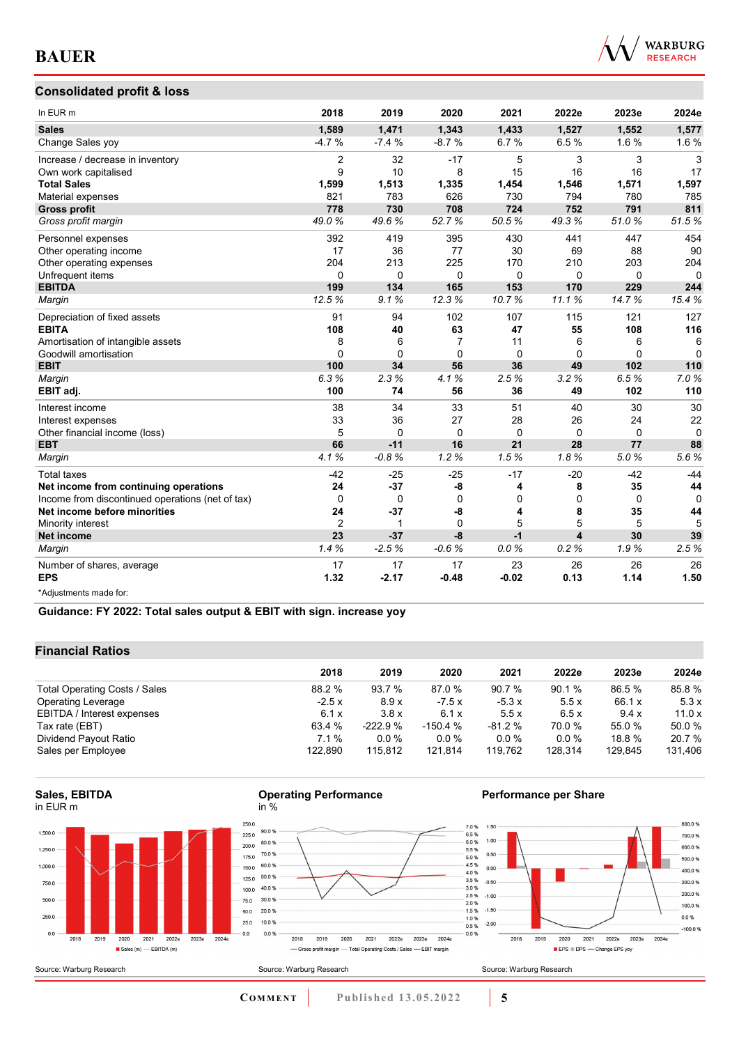

## **Consolidated profit & loss**

| In EUR m                                         | 2018         | 2019        | 2020     | 2021     | 2022e    | 2023e       | 2024e    |
|--------------------------------------------------|--------------|-------------|----------|----------|----------|-------------|----------|
| <b>Sales</b>                                     | 1,589        | 1,471       | 1,343    | 1,433    | 1,527    | 1,552       | 1,577    |
| Change Sales yoy                                 | $-4.7%$      | $-7.4%$     | $-8.7%$  | 6.7%     | 6.5%     | 1.6%        | 1.6%     |
| Increase / decrease in inventory                 | 2            | 32          | $-17$    | 5        | 3        | 3           | 3        |
| Own work capitalised                             | 9            | 10          | 8        | 15       | 16       | 16          | 17       |
| <b>Total Sales</b>                               | 1,599        | 1,513       | 1,335    | 1,454    | 1,546    | 1,571       | 1,597    |
| Material expenses                                | 821          | 783         | 626      | 730      | 794      | 780         | 785      |
| <b>Gross profit</b>                              | 778          | 730         | 708      | 724      | 752      | 791         | 811      |
| Gross profit margin                              | 49.0%        | 49.6%       | 52.7%    | 50.5%    | 49.3%    | 51.0%       | 51.5%    |
| Personnel expenses                               | 392          | 419         | 395      | 430      | 441      | 447         | 454      |
| Other operating income                           | 17           | 36          | 77       | 30       | 69       | 88          | 90       |
| Other operating expenses                         | 204          | 213         | 225      | 170      | 210      | 203         | 204      |
| Unfrequent items                                 | $\Omega$     | $\Omega$    | $\Omega$ | $\Omega$ | $\Omega$ | $\Omega$    | $\Omega$ |
| <b>EBITDA</b>                                    | 199          | 134         | 165      | 153      | 170      | 229         | 244      |
| Margin                                           | 12.5%        | 9.1%        | 12.3%    | 10.7%    | 11.1%    | 14.7%       | 15.4%    |
| Depreciation of fixed assets                     | 91           | 94          | 102      | 107      | 115      | 121         | 127      |
| <b>EBITA</b>                                     | 108          | 40          | 63       | 47       | 55       | 108         | 116      |
| Amortisation of intangible assets                | 8            | 6           | 7        | 11       | 6        | 6           | 6        |
| Goodwill amortisation                            | $\mathbf{0}$ | $\Omega$    | $\Omega$ | $\Omega$ | $\Omega$ | $\Omega$    | $\Omega$ |
| <b>EBIT</b>                                      | 100          | 34          | 56       | 36       | 49       | 102         | 110      |
| Margin                                           | 6.3%         | 2.3%        | 4.1%     | 2.5%     | 3.2%     | 6.5%        | 7.0%     |
| EBIT adj.                                        | 100          | 74          | 56       | 36       | 49       | 102         | 110      |
| Interest income                                  | 38           | 34          | 33       | 51       | 40       | 30          | 30       |
| Interest expenses                                | 33           | 36          | 27       | 28       | 26       | 24          | 22       |
| Other financial income (loss)                    | 5            | $\Omega$    | $\Omega$ | $\Omega$ | $\Omega$ | $\Omega$    | $\Omega$ |
| <b>EBT</b>                                       | 66           | $-11$       | 16       | 21       | 28       | 77          | 88       |
| Margin                                           | 4.1%         | $-0.8%$     | 1.2%     | 1.5%     | 1.8%     | 5.0%        | 5.6%     |
| <b>Total taxes</b>                               | $-42$        | $-25$       | $-25$    | $-17$    | $-20$    | $-42$       | $-44$    |
| Net income from continuing operations            | 24           | $-37$       | -8       | 4        | 8        | 35          | 44       |
| Income from discontinued operations (net of tax) | $\mathbf 0$  | $\mathbf 0$ | 0        | 0        | 0        | $\mathbf 0$ | $\Omega$ |
| Net income before minorities                     | 24           | $-37$       | -8       | 4        | 8        | 35          | 44       |
| Minority interest                                | 2            | 1           | $\Omega$ | 5        | 5        | 5           | 5        |
| Net income                                       | 23           | $-37$       | $-8$     | $-1$     | 4        | 30          | 39       |
| Margin                                           | 1.4%         | $-2.5%$     | $-0.6%$  | 0.0%     | 0.2%     | 1.9%        | 2.5%     |
| Number of shares, average                        | 17           | 17          | 17       | 23       | 26       | 26          | 26       |
| <b>EPS</b>                                       | 1.32         | $-2.17$     | $-0.48$  | $-0.02$  | 0.13     | 1.14        | 1.50     |
| *Adiustments made for:                           |              |             |          |          |          |             |          |

## **Guidance: FY 2022: Total sales output & EBIT with sign. increase yoy**

## **Financial Ratios**

|                               | 2018    | 2019      | 2020      | 2021     | 2022e   | 2023e   | 2024e   |
|-------------------------------|---------|-----------|-----------|----------|---------|---------|---------|
| Total Operating Costs / Sales | 88.2 %  | 93.7 %    | 87.0 %    | 90.7 %   | 90.1 %  | 86.5 %  | 85.8%   |
| <b>Operating Leverage</b>     | $-2.5x$ | 8.9x      | $-7.5x$   | $-5.3x$  | 5.5x    | 66.1 x  | 5.3x    |
| EBITDA / Interest expenses    | 6.1x    | 3.8x      | 6.1 x     | 5.5x     | 6.5x    | 9.4x    | 11.0x   |
| Tax rate (EBT)                | 63.4 %  | $-222.9%$ | $-150.4%$ | $-81.2%$ | 70.0 %  | 55.0 %  | 50.0 %  |
| Dividend Payout Ratio         | $7.1\%$ | $0.0\%$   | $0.0 \%$  | $0.0\%$  | $0.0\%$ | 18.8%   | 20.7 %  |
| Sales per Employee            | 122.890 | 115.812   | 121,814   | 119.762  | 128.314 | 129.845 | 131,406 |





Source: Warburg Research

80.0%

70.0%

60.0%

50.0%

40.0%

30.0%

20.0%

10.0%

0.0%

### **Performance per Share**



2018 2019 2020 2021 2022e 2023e 2024e

- Gross profit margin - Total Operating Costs / Sales - EBIT margin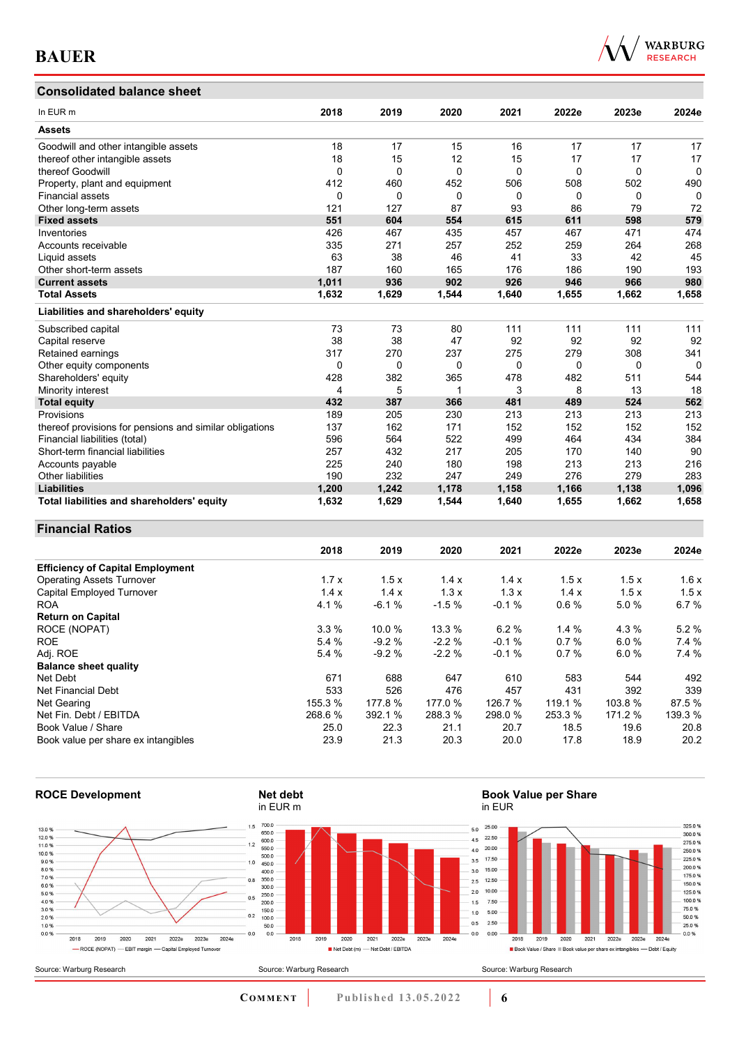## **Consolidated balance sheet**

|  | <b>WARBURG</b><br><b>RESEARCH</b> |
|--|-----------------------------------|
|  |                                   |

| In EUR <sub>m</sub>                                     | 2018     | 2019  | 2020     | 2021     | 2022e        | 2023e    | 2024e        |
|---------------------------------------------------------|----------|-------|----------|----------|--------------|----------|--------------|
| <b>Assets</b>                                           |          |       |          |          |              |          |              |
| Goodwill and other intangible assets                    | 18       | 17    | 15       | 16       | 17           | 17       | 17           |
| thereof other intangible assets                         | 18       | 15    | 12       | 15       | 17           | 17       | 17           |
| thereof Goodwill                                        | $\Omega$ | 0     | 0        | $\Omega$ | 0            | $\Omega$ | 0            |
| Property, plant and equipment                           | 412      | 460   | 452      | 506      | 508          | 502      | 490          |
| <b>Financial assets</b>                                 | $\Omega$ | 0     | $\Omega$ | $\Omega$ | $\mathbf{0}$ | $\Omega$ | $\mathbf{0}$ |
| Other long-term assets                                  | 121      | 127   | 87       | 93       | 86           | 79       | 72           |
| <b>Fixed assets</b>                                     | 551      | 604   | 554      | 615      | 611          | 598      | 579          |
| Inventories                                             | 426      | 467   | 435      | 457      | 467          | 471      | 474          |
| Accounts receivable                                     | 335      | 271   | 257      | 252      | 259          | 264      | 268          |
| Liquid assets                                           | 63       | 38    | 46       | 41       | 33           | 42       | 45           |
| Other short-term assets                                 | 187      | 160   | 165      | 176      | 186          | 190      | 193          |
| <b>Current assets</b>                                   | 1,011    | 936   | 902      | 926      | 946          | 966      | 980          |
| <b>Total Assets</b>                                     | 1,632    | 1,629 | 1,544    | 1,640    | 1,655        | 1,662    | 1,658        |
| Liabilities and shareholders' equity                    |          |       |          |          |              |          |              |
| Subscribed capital                                      | 73       | 73    | 80       | 111      | 111          | 111      | 111          |
| Capital reserve                                         | 38       | 38    | 47       | 92       | 92           | 92       | 92           |
| Retained earnings                                       | 317      | 270   | 237      | 275      | 279          | 308      | 341          |
| Other equity components                                 | 0        | 0     | 0        | 0        | 0            | 0        | $\Omega$     |
| Shareholders' equity                                    | 428      | 382   | 365      | 478      | 482          | 511      | 544          |
| Minority interest                                       | 4        | 5     | 1        | 3        | 8            | 13       | 18           |
| <b>Total equity</b>                                     | 432      | 387   | 366      | 481      | 489          | 524      | 562          |
| Provisions                                              | 189      | 205   | 230      | 213      | 213          | 213      | 213          |
| thereof provisions for pensions and similar obligations | 137      | 162   | 171      | 152      | 152          | 152      | 152          |
| Financial liabilities (total)                           | 596      | 564   | 522      | 499      | 464          | 434      | 384          |
| Short-term financial liabilities                        | 257      | 432   | 217      | 205      | 170          | 140      | 90           |
| Accounts payable                                        | 225      | 240   | 180      | 198      | 213          | 213      | 216          |
| <b>Other liabilities</b>                                | 190      | 232   | 247      | 249      | 276          | 279      | 283          |
| <b>Liabilities</b>                                      | 1,200    | 1,242 | 1,178    | 1,158    | 1,166        | 1,138    | 1,096        |
| Total liabilities and shareholders' equity              | 1,632    | 1,629 | 1,544    | 1,640    | 1,655        | 1,662    | 1,658        |

## **Financial Ratios**

|                                         | 2018    | 2019    | 2020    | 2021    | 2022e   | 2023e   | 2024e   |
|-----------------------------------------|---------|---------|---------|---------|---------|---------|---------|
| <b>Efficiency of Capital Employment</b> |         |         |         |         |         |         |         |
| <b>Operating Assets Turnover</b>        | 1.7x    | 1.5x    | 1.4x    | 1.4x    | 1.5x    | 1.5x    | 1.6x    |
| <b>Capital Employed Turnover</b>        | 1.4x    | 1.4x    | 1.3x    | 1.3x    | 1.4x    | 1.5x    | 1.5x    |
| <b>ROA</b>                              | 4.1%    | $-6.1%$ | $-1.5%$ | $-0.1%$ | 0.6%    | 5.0%    | 6.7%    |
| <b>Return on Capital</b>                |         |         |         |         |         |         |         |
| ROCE (NOPAT)                            | 3.3%    | 10.0%   | 13.3 %  | 6.2%    | 1.4%    | 4.3%    | 5.2%    |
| <b>ROE</b>                              | 5.4 %   | $-9.2%$ | $-2.2%$ | $-0.1%$ | 0.7%    | 6.0%    | 7.4 %   |
| Adj. ROE                                | 5.4 %   | $-9.2%$ | $-2.2%$ | $-0.1%$ | 0.7%    | 6.0%    | 7.4%    |
| <b>Balance sheet quality</b>            |         |         |         |         |         |         |         |
| Net Debt                                | 671     | 688     | 647     | 610     | 583     | 544     | 492     |
| Net Financial Debt                      | 533     | 526     | 476     | 457     | 431     | 392     | 339     |
| Net Gearing                             | 155.3 % | 177.8 % | 177.0 % | 126.7 % | 119.1 % | 103.8%  | 87.5 %  |
| Net Fin. Debt / EBITDA                  | 268.6 % | 392.1 % | 288.3 % | 298.0 % | 253.3 % | 171.2 % | 139.3 % |
| Book Value / Share                      | 25.0    | 22.3    | 21.1    | 20.7    | 18.5    | 19.6    | 20.8    |
| Book value per share ex intangibles     | 23.9    | 21.3    | 20.3    | 20.0    | 17.8    | 18.9    | 20.2    |



 $\begin{array}{c} 325.0~\% \\ 300.0~\% \\ 275.0~\% \\ 250.0~\% \\ 225.0~\% \\ 200.0~\% \\ 175.0~\% \\ 160.0~\% \\ 75.0~\% \\ 50.0~\% \\ 25.0~\% \\ 25.0~\% \end{array}$ 

 $0.0%$ 

2024e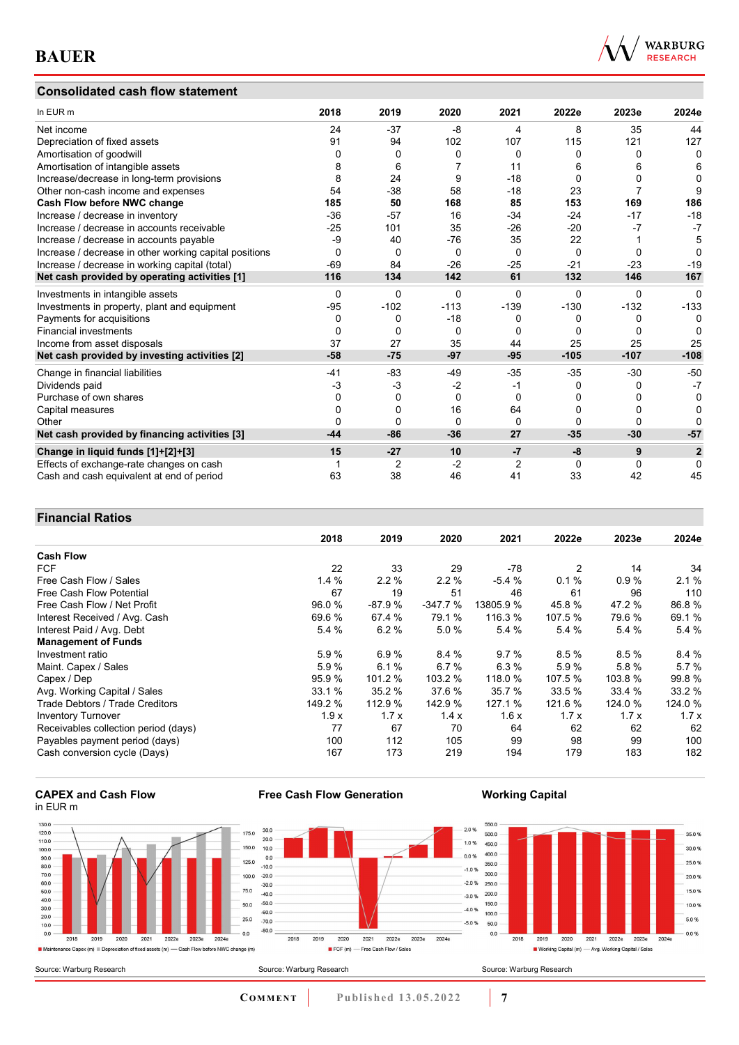## **Consolidated cash flow statement**



| In EUR m                                               | 2018     | 2019     | 2020     | 2021     | 2022e    | 2023e    | 2024e          |
|--------------------------------------------------------|----------|----------|----------|----------|----------|----------|----------------|
| Net income                                             | 24       | $-37$    | -8       | 4        | 8        | 35       | 44             |
| Depreciation of fixed assets                           | 91       | 94       | 102      | 107      | 115      | 121      | 127            |
| Amortisation of goodwill                               | 0        | 0        | $\Omega$ | $\Omega$ | 0        | $\Omega$ | $\Omega$       |
| Amortisation of intangible assets                      |          | 6        |          | 11       | 6        |          | 6              |
| Increase/decrease in long-term provisions              | 8        | 24       | 9        | $-18$    | 0        |          | $\Omega$       |
| Other non-cash income and expenses                     | 54       | $-38$    | 58       | $-18$    | 23       |          | 9              |
| Cash Flow before NWC change                            | 185      | 50       | 168      | 85       | 153      | 169      | 186            |
| Increase / decrease in inventory                       | $-36$    | $-57$    | 16       | $-34$    | $-24$    | $-17$    | $-18$          |
| Increase / decrease in accounts receivable             | $-25$    | 101      | 35       | $-26$    | $-20$    | -7       | $-7$           |
| Increase / decrease in accounts payable                | -9       | 40       | $-76$    | 35       | 22       |          | 5              |
| Increase / decrease in other working capital positions | $\Omega$ | $\Omega$ | $\Omega$ | $\Omega$ | $\Omega$ | $\Omega$ | O              |
| Increase / decrease in working capital (total)         | $-69$    | 84       | $-26$    | $-25$    | $-21$    | $-23$    | $-19$          |
| Net cash provided by operating activities [1]          | 116      | 134      | 142      | 61       | 132      | 146      | 167            |
| Investments in intangible assets                       | $\Omega$ | $\Omega$ | $\Omega$ | $\Omega$ | 0        | $\Omega$ | $\Omega$       |
| Investments in property, plant and equipment           | $-95$    | $-102$   | $-113$   | $-139$   | $-130$   | $-132$   | $-133$         |
| Payments for acquisitions                              | 0        | 0        | $-18$    | 0        | 0        | 0        | 0              |
| <b>Financial investments</b>                           | 0        | 0        | 0        | 0        | 0        | $\Omega$ |                |
| Income from asset disposals                            | 37       | 27       | 35       | 44       | 25       | 25       | 25             |
| Net cash provided by investing activities [2]          | $-58$    | $-75$    | $-97$    | $-95$    | $-105$   | $-107$   | $-108$         |
| Change in financial liabilities                        | -41      | $-83$    | -49      | $-35$    | $-35$    | $-30$    | $-50$          |
| Dividends paid                                         | -3       | $-3$     | $-2$     | -1       | 0        | 0        | $-7$           |
| Purchase of own shares                                 | 0        | $\Omega$ | $\Omega$ | $\Omega$ | U        |          | 0              |
| Capital measures                                       |          | 0        | 16       | 64       | 0        |          | O              |
| Other                                                  |          | 0        | $\Omega$ | 0        | 0        | $\Omega$ |                |
| Net cash provided by financing activities [3]          | $-44$    | $-86$    | $-36$    | 27       | $-35$    | $-30$    | $-57$          |
| Change in liquid funds [1]+[2]+[3]                     | 15       | $-27$    | 10       | $-7$     | -8       | 9        | $\overline{2}$ |
| Effects of exchange-rate changes on cash               |          | 2        | $-2$     | 2        | 0        | $\Omega$ | $\Omega$       |
| Cash and cash equivalent at end of period              | 63       | 38       | 46       | 41       | 33       | 42       | 45             |

## **Financial Ratios**

|                                      | 2018    | 2019     | 2020      | 2021      | 2022e   | 2023e   | 2024e   |
|--------------------------------------|---------|----------|-----------|-----------|---------|---------|---------|
| <b>Cash Flow</b>                     |         |          |           |           |         |         |         |
| <b>FCF</b>                           | 22      | 33       | 29        | -78       | 2       | 14      | 34      |
| Free Cash Flow / Sales               | 1.4%    | 2.2%     | $2.2\%$   | $-5.4%$   | 0.1%    | 0.9%    | 2.1%    |
| <b>Free Cash Flow Potential</b>      | 67      | 19       | 51        | 46        | 61      | 96      | 110     |
| Free Cash Flow / Net Profit          | 96.0 %  | $-87.9%$ | $-347.7%$ | 13805.9 % | 45.8%   | 47.2 %  | 86.8%   |
| Interest Received / Avg. Cash        | 69.6 %  | 67.4 %   | 79.1 %    | 116.3 %   | 107.5 % | 79.6 %  | 69.1 %  |
| Interest Paid / Avg. Debt            | 5.4 %   | 6.2%     | 5.0%      | 5.4 %     | 5.4%    | 5.4 %   | 5.4 %   |
| <b>Management of Funds</b>           |         |          |           |           |         |         |         |
| Investment ratio                     | 5.9%    | 6.9%     | 8.4%      | 9.7%      | 8.5%    | 8.5%    | 8.4%    |
| Maint. Capex / Sales                 | 5.9%    | 6.1%     | 6.7%      | 6.3%      | 5.9%    | 5.8%    | 5.7%    |
| Capex / Dep                          | 95.9 %  | 101.2 %  | 103.2 %   | 118.0 %   | 107.5 % | 103.8 % | 99.8%   |
| Avg. Working Capital / Sales         | 33.1 %  | 35.2 %   | 37.6 %    | 35.7 %    | 33.5 %  | 33.4 %  | 33.2 %  |
| Trade Debtors / Trade Creditors      | 149.2 % | 112.9 %  | 142.9 %   | 127.1 %   | 121.6 % | 124.0 % | 124.0 % |
| <b>Inventory Turnover</b>            | 1.9x    | 1.7x     | 1.4x      | 1.6x      | 1.7x    | 1.7x    | 1.7x    |
| Receivables collection period (days) | 77      | 67       | 70        | 64        | 62      | 62      | 62      |
| Payables payment period (days)       | 100     | 112      | 105       | 99        | 98      | 99      | 100     |
| Cash conversion cycle (Days)         | 167     | 173      | 219       | 194       | 179     | 183     | 182     |

#### **CAPEX and Cash Flow** in EUR m



**Free Cash Flow Generation**

**Working Capital**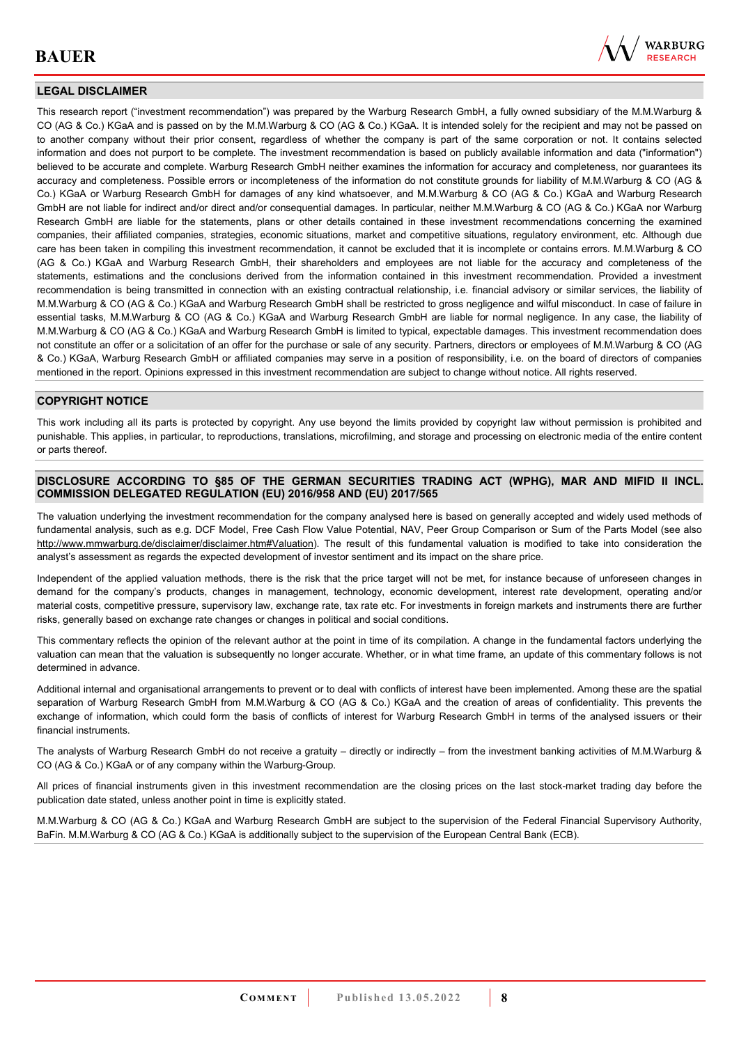

## **LEGAL DISCLAIMER**

This research report ("investment recommendation") was prepared by the Warburg Research GmbH, a fully owned subsidiary of the M.M.Warburg & CO (AG & Co.) KGaA and is passed on by the M.M.Warburg & CO (AG & Co.) KGaA. It is intended solely for the recipient and may not be passed on to another company without their prior consent, regardless of whether the company is part of the same corporation or not. It contains selected information and does not purport to be complete. The investment recommendation is based on publicly available information and data ("information") believed to be accurate and complete. Warburg Research GmbH neither examines the information for accuracy and completeness, nor guarantees its accuracy and completeness. Possible errors or incompleteness of the information do not constitute grounds for liability of M.M.Warburg & CO (AG & Co.) KGaA or Warburg Research GmbH for damages of any kind whatsoever, and M.M.Warburg & CO (AG & Co.) KGaA and Warburg Research GmbH are not liable for indirect and/or direct and/or consequential damages. In particular, neither M.M.Warburg & CO (AG & Co.) KGaA nor Warburg Research GmbH are liable for the statements, plans or other details contained in these investment recommendations concerning the examined companies, their affiliated companies, strategies, economic situations, market and competitive situations, regulatory environment, etc. Although due care has been taken in compiling this investment recommendation, it cannot be excluded that it is incomplete or contains errors. M.M.Warburg & CO (AG & Co.) KGaA and Warburg Research GmbH, their shareholders and employees are not liable for the accuracy and completeness of the statements, estimations and the conclusions derived from the information contained in this investment recommendation. Provided a investment recommendation is being transmitted in connection with an existing contractual relationship, i.e. financial advisory or similar services, the liability of M.M.Warburg & CO (AG & Co.) KGaA and Warburg Research GmbH shall be restricted to gross negligence and wilful misconduct. In case of failure in essential tasks, M.M.Warburg & CO (AG & Co.) KGaA and Warburg Research GmbH are liable for normal negligence. In any case, the liability of M.M.Warburg & CO (AG & Co.) KGaA and Warburg Research GmbH is limited to typical, expectable damages. This investment recommendation does not constitute an offer or a solicitation of an offer for the purchase or sale of any security. Partners, directors or employees of M.M.Warburg & CO (AG & Co.) KGaA, Warburg Research GmbH or affiliated companies may serve in a position of responsibility, i.e. on the board of directors of companies mentioned in the report. Opinions expressed in this investment recommendation are subject to change without notice. All rights reserved.

## **COPYRIGHT NOTICE**

This work including all its parts is protected by copyright. Any use beyond the limits provided by copyright law without permission is prohibited and punishable. This applies, in particular, to reproductions, translations, microfilming, and storage and processing on electronic media of the entire content or parts thereof.

### **DISCLOSURE ACCORDING TO §85 OF THE GERMAN SECURITIES TRADING ACT (WPHG), MAR AND MIFID II INCL. COMMISSION DELEGATED REGULATION (EU) 2016/958 AND (EU) 2017/565**

The valuation underlying the investment recommendation for the company analysed here is based on generally accepted and widely used methods of fundamental analysis, such as e.g. DCF Model, Free Cash Flow Value Potential, NAV, Peer Group Comparison or Sum of the Parts Model (see also [http://www.mmwarburg.de/disclaimer/disclaimer.htm#Valuation\)](http://www.mmwarburg.de/disclaimer/disclaimer.htm#Valuation). The result of this fundamental valuation is modified to take into consideration the analyst's assessment as regards the expected development of investor sentiment and its impact on the share price.

Independent of the applied valuation methods, there is the risk that the price target will not be met, for instance because of unforeseen changes in demand for the company's products, changes in management, technology, economic development, interest rate development, operating and/or material costs, competitive pressure, supervisory law, exchange rate, tax rate etc. For investments in foreign markets and instruments there are further risks, generally based on exchange rate changes or changes in political and social conditions.

This commentary reflects the opinion of the relevant author at the point in time of its compilation. A change in the fundamental factors underlying the valuation can mean that the valuation is subsequently no longer accurate. Whether, or in what time frame, an update of this commentary follows is not determined in advance.

Additional internal and organisational arrangements to prevent or to deal with conflicts of interest have been implemented. Among these are the spatial separation of Warburg Research GmbH from M.M.Warburg & CO (AG & Co.) KGaA and the creation of areas of confidentiality. This prevents the exchange of information, which could form the basis of conflicts of interest for Warburg Research GmbH in terms of the analysed issuers or their financial instruments.

The analysts of Warburg Research GmbH do not receive a gratuity – directly or indirectly – from the investment banking activities of M.M.Warburg & CO (AG & Co.) KGaA or of any company within the Warburg-Group.

All prices of financial instruments given in this investment recommendation are the closing prices on the last stock-market trading day before the publication date stated, unless another point in time is explicitly stated.

M.M.Warburg & CO (AG & Co.) KGaA and Warburg Research GmbH are subject to the supervision of the Federal Financial Supervisory Authority, BaFin. M.M.Warburg & CO (AG & Co.) KGaA is additionally subject to the supervision of the European Central Bank (ECB).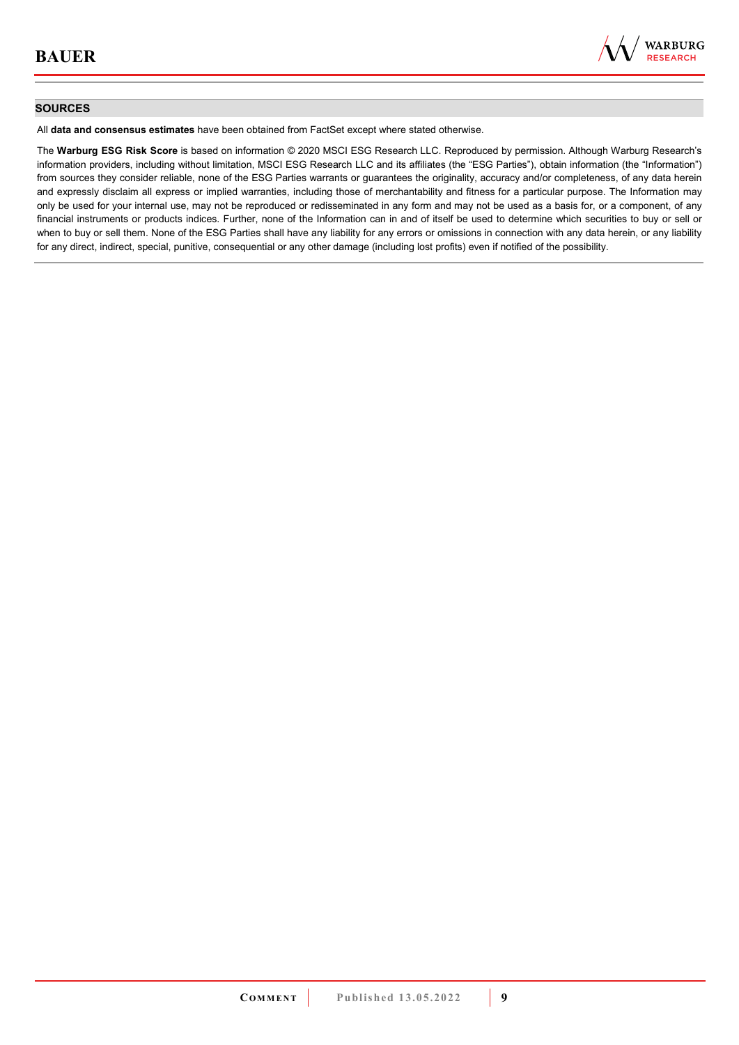

### **SOURCES**

All **data and consensus estimates** have been obtained from FactSet except where stated otherwise.

The **Warburg ESG Risk Score** is based on information © 2020 MSCI ESG Research LLC. Reproduced by permission. Although Warburg Research's information providers, including without limitation, MSCI ESG Research LLC and its affiliates (the "ESG Parties"), obtain information (the "Information") from sources they consider reliable, none of the ESG Parties warrants or guarantees the originality, accuracy and/or completeness, of any data herein and expressly disclaim all express or implied warranties, including those of merchantability and fitness for a particular purpose. The Information may only be used for your internal use, may not be reproduced or redisseminated in any form and may not be used as a basis for, or a component, of any financial instruments or products indices. Further, none of the Information can in and of itself be used to determine which securities to buy or sell or when to buy or sell them. None of the ESG Parties shall have any liability for any errors or omissions in connection with any data herein, or any liability for any direct, indirect, special, punitive, consequential or any other damage (including lost profits) even if notified of the possibility.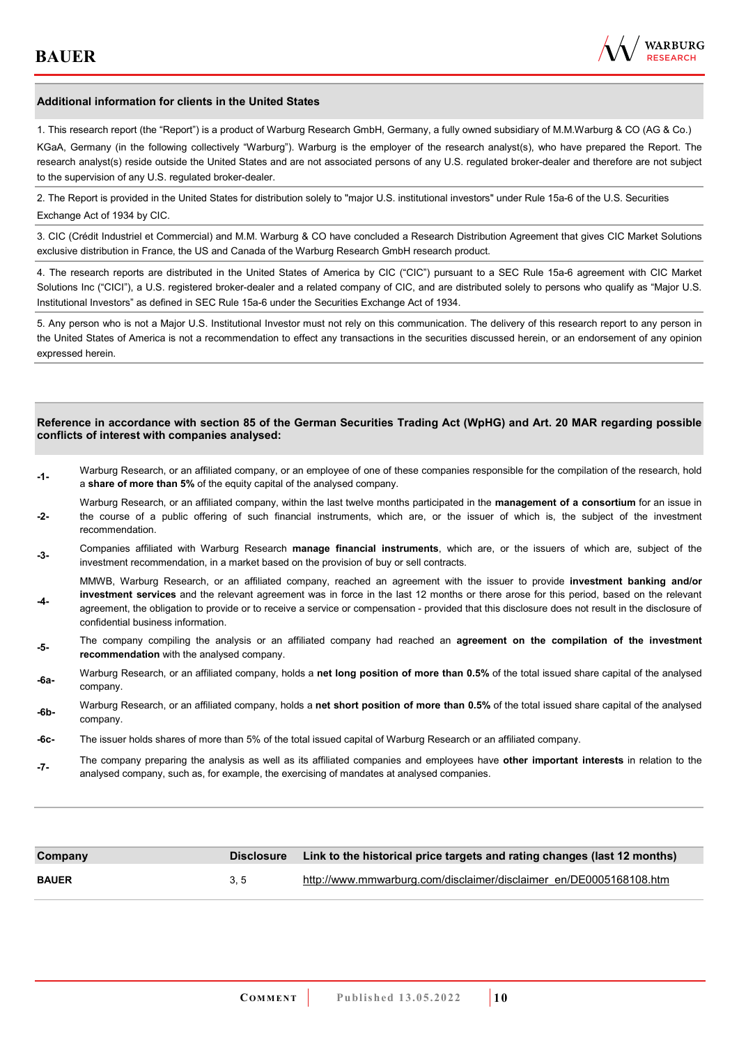

### **Additional information for clients in the United States**

1. This research report (the "Report") is a product of Warburg Research GmbH, Germany, a fully owned subsidiary of M.M.Warburg & CO (AG & Co.)

KGaA, Germany (in the following collectively "Warburg"). Warburg is the employer of the research analyst(s), who have prepared the Report. The research analyst(s) reside outside the United States and are not associated persons of any U.S. regulated broker-dealer and therefore are not subject to the supervision of any U.S. regulated broker-dealer.

2. The Report is provided in the United States for distribution solely to "major U.S. institutional investors" under Rule 15a-6 of the U.S. Securities Exchange Act of 1934 by CIC.

3. CIC (Crédit Industriel et Commercial) and M.M. Warburg & CO have concluded a Research Distribution Agreement that gives CIC Market Solutions exclusive distribution in France, the US and Canada of the Warburg Research GmbH research product.

4. The research reports are distributed in the United States of America by CIC ("CIC") pursuant to a SEC Rule 15a-6 agreement with CIC Market Solutions Inc ("CICI"), a U.S. registered broker-dealer and a related company of CIC, and are distributed solely to persons who qualify as "Major U.S. Institutional Investors" as defined in SEC Rule 15a-6 under the Securities Exchange Act of 1934.

5. Any person who is not a Major U.S. Institutional Investor must not rely on this communication. The delivery of this research report to any person in the United States of America is not a recommendation to effect any transactions in the securities discussed herein, or an endorsement of any opinion expressed herein.

#### **Reference in accordance with section 85 of the German Securities Trading Act (WpHG) and Art. 20 MAR regarding possible conflicts of interest with companies analysed:**

- **-1-** Warburg Research, or an affiliated company, or an employee of one of these companies responsible for the compilation of the research, hold a **share of more than 5%** of the equity capital of the analysed company.
- **-2-**  Warburg Research, or an affiliated company, within the last twelve months participated in the **management of a consortium** for an issue in the course of a public offering of such financial instruments, which are, or the issuer of which is, the subject of the investment recommendation.
- **-3-** Companies affiliated with Warburg Research **manage financial instruments**, which are, or the issuers of which are, subject of the investment recommendation, in a market based on the provision of buy or sell contracts.

MMWB, Warburg Research, or an affiliated company, reached an agreement with the issuer to provide **investment banking and/or investment services** and the relevant agreement was in force in the last 12 months or there arose for this period, based on the relevant

- **-4**  agreement, the obligation to provide or to receive a service or compensation - provided that this disclosure does not result in the disclosure of confidential business information.
- **-5-** The company compiling the analysis or an affiliated company had reached an **agreement on the compilation of the investment recommendation** with the analysed company.
- **-6a-** Warburg Research, or an affiliated company, holds a **net long position of more than 0.5%** of the total issued share capital of the analysed company.
- **-6b-** Warburg Research, or an affiliated company, holds a **net short position of more than 0.5%** of the total issued share capital of the analysed company.
- **-6c-** The issuer holds shares of more than 5% of the total issued capital of Warburg Research or an affiliated company.
- **-7-** The company preparing the analysis as well as its affiliated companies and employees have **other important interests** in relation to the analysed company, such as, for example, the exercising of mandates at analysed companies.

| Company      | <b>Disclosure</b> | Link to the historical price targets and rating changes (last 12 months) |
|--------------|-------------------|--------------------------------------------------------------------------|
| <b>BAUER</b> | 3.5               | http://www.mmwarburg.com/disclaimer/disclaimer_en/DE0005168108.htm       |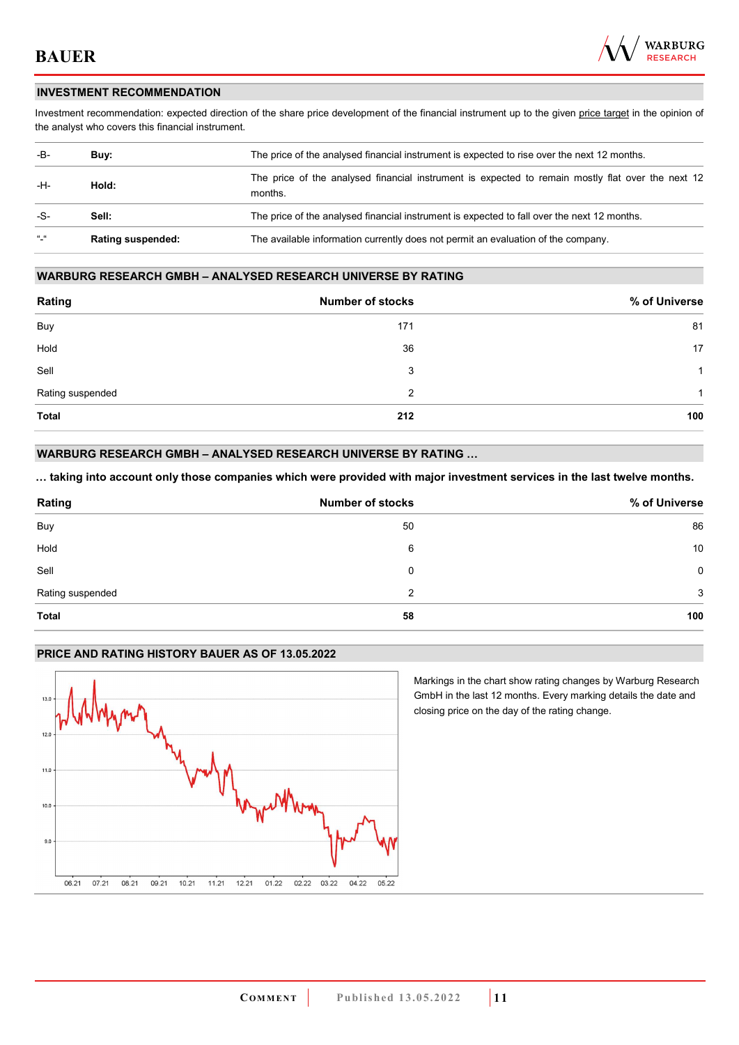

### **INVESTMENT RECOMMENDATION**

Investment recommendation: expected direction of the share price development of the financial instrument up to the given price target in the opinion of the analyst who covers this financial instrument.

| -B-           | Buy:                     | The price of the analysed financial instrument is expected to rise over the next 12 months.                  |  |
|---------------|--------------------------|--------------------------------------------------------------------------------------------------------------|--|
| -H-           | Hold:                    | The price of the analysed financial instrument is expected to remain mostly flat over the next 12<br>months. |  |
| -S-           | Sell:                    | The price of the analysed financial instrument is expected to fall over the next 12 months.                  |  |
| $\frac{1}{2}$ | <b>Rating suspended:</b> | The available information currently does not permit an evaluation of the company.                            |  |

### **WARBURG RESEARCH GMBH – ANALYSED RESEARCH UNIVERSE BY RATING**

| Rating           | <b>Number of stocks</b> | % of Universe |
|------------------|-------------------------|---------------|
| Buy              | 171                     | 81            |
| Hold             | 36                      | 17            |
| Sell             | 3                       | -1            |
| Rating suspended | 2                       | 1             |
| <b>Total</b>     | 212                     | 100           |

## **WARBURG RESEARCH GMBH – ANALYSED RESEARCH UNIVERSE BY RATING …**

**… taking into account only those companies which were provided with major investment services in the last twelve months.** 

| Rating           | <b>Number of stocks</b> | % of Universe |
|------------------|-------------------------|---------------|
| Buy              | 50                      | 86            |
| Hold             | 6                       | 10            |
| Sell             | 0                       | 0             |
| Rating suspended | 2                       | 3             |
| <b>Total</b>     | 58                      | 100           |

### **PRICE AND RATING HISTORY BAUER AS OF 13.05.2022**



Markings in the chart show rating changes by Warburg Research GmbH in the last 12 months. Every marking details the date and closing price on the day of the rating change.